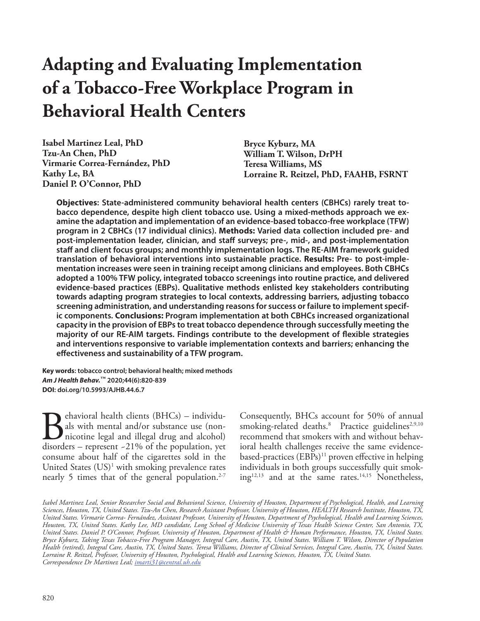**Isabel Martinez Leal, PhD Tzu-An Chen, PhD Virmarie Correa-Fernández, PhD Kathy Le, BA Daniel P. O'Connor, PhD**

**Bryce Kyburz, MA William T. Wilson, DrPH Teresa Williams, MS Lorraine R. Reitzel, PhD, FAAHB, FSRNT**

**Objectives: State-administered community behavioral health centers (CBHCs) rarely treat tobacco dependence, despite high client tobacco use. Using a mixed-methods approach we examine the adaptation and implementation of an evidence-based tobacco-free workplace (TFW) program in 2 CBHCs (17 individual clinics). Methods: Varied data collection included pre- and post-implementation leader, clinician, and staff surveys; pre-, mid-, and post-implementation staff and client focus groups; and monthly implementation logs. The RE-AIM framework guided translation of behavioral interventions into sustainable practice. Results: Pre- to post-implementation increases were seen in training receipt among clinicians and employees. Both CBHCs adopted a 100% TFW policy, integrated tobacco screenings into routine practice, and delivered evidence-based practices (EBPs). Qualitative methods enlisted key stakeholders contributing towards adapting program strategies to local contexts, addressing barriers, adjusting tobacco screening administration, and understanding reasons for success or failure to implement specific components. Conclusions: Program implementation at both CBHCs increased organizational capacity in the provision of EBPs to treat tobacco dependence through successfully meeting the majority of our RE-AIM targets. Findings contribute to the development of flexible strategies and interventions responsive to variable implementation contexts and barriers; enhancing the effectiveness and sustainability of a TFW program.**

**Key words: tobacco control; behavioral health; mixed methods** *Am J Health Behav.***™ 2020;44(6):820-839 DOI: doi.org/10.5993/AJHB.44.6.7**

**B**ehavioral health clients (BHCs) – individuals with mental and/or substance use (non-<br>nicotine legal and illegal drug and alcohol)<br>disorders – represent -21% of the population, yet als with mental and/or substance use (nonnicotine legal and illegal drug and alcohol) disorders – represent  $-21\%$  of the population, yet consume about half of the cigarettes sold in the United States (US)<sup>1</sup> with smoking prevalence rates nearly 5 times that of the general population. $2-7$ 

Consequently, BHCs account for 50% of annual smoking-related deaths.<sup>8</sup> Practice guidelines<sup>2,9,10</sup> recommend that smokers with and without behavioral health challenges receive the same evidencebased-practices  $(EBPs)^{11}$  proven effective in helping individuals in both groups successfully quit smok $ing<sup>12,13</sup>$  and at the same rates.<sup>14,15</sup> Nonetheless,

*Isabel Martinez Leal, Senior Researcher Social and Behavioral Science, University of Houston, Department of Psychological, Health, and Learning Sciences, Houston, TX, United States. Tzu-An Chen, Research Assistant Professor, University of Houston, HEALTH Research Institute, Houston, TX, United States. Virmarie Correa- Fernández, Assistant Professor, University of Houston, Department of Psychological, Health and Learning Sciences, Houston, TX, United States. Kathy Lee, MD candidate, Long School of Medicine University of Texas Health Science Center, San Antonio, TX, United States. Daniel P. O'Connor, Professor, University of Houston, Department of Health & Human Performance, Houston, TX, United States. Bryce Kyburz, Taking Texas Tobacco-Free Program Manager, Integral Care, Austin, TX, United States. William T. Wilson, Director of Population Health (retired), Integral Care, Austin, TX, United States. Teresa Williams, Director of Clinical Services, Integral Care, Austin, TX, United States. Lorraine R. Reitzel, Professor, University of Houston, Psychological, Health and Learning Sciences, Houston, TX, United States. Correspondence Dr Martinez Leal; imarti31@central.uh.edu*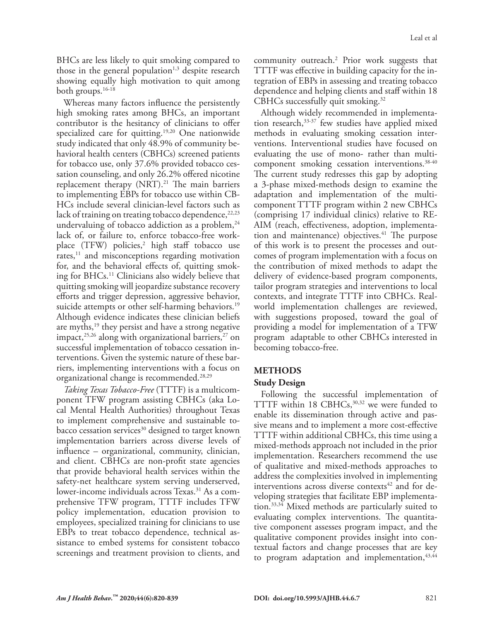BHCs are less likely to quit smoking compared to those in the general population<sup>1,3</sup> despite research showing equally high motivation to quit among both groups.16-18

Whereas many factors influence the persistently high smoking rates among BHCs, an important contributor is the hesitancy of clinicians to offer specialized care for quitting.<sup>19,20</sup> One nationwide study indicated that only 48.9% of community behavioral health centers (CBHCs) screened patients for tobacco use, only 37.6% provided tobacco cessation counseling, and only 26.2% offered nicotine replacement therapy  $(NRT).<sup>21</sup>$  The main barriers to implementing EBPs for tobacco use within CB-HCs include several clinician-level factors such as lack of training on treating tobacco dependence, 22,23 undervaluing of tobacco addiction as a problem,  $24$ lack of, or failure to, enforce tobacco-free workplace (TFW) policies,<sup>2</sup> high staff tobacco use rates, $11$  and misconceptions regarding motivation for, and the behavioral effects of, quitting smoking for BHCs.11 Clinicians also widely believe that quitting smoking will jeopardize substance recovery efforts and trigger depression, aggressive behavior, suicide attempts or other self-harming behaviors.<sup>19</sup> Although evidence indicates these clinician beliefs are myths,<sup>19</sup> they persist and have a strong negative impact, $^{25,26}$  along with organizational barriers, $^{27}$  on successful implementation of tobacco cessation interventions. Given the systemic nature of these barriers, implementing interventions with a focus on organizational change is recommended.28,29

*Taking Texas Tobacco-Free* (TTTF) is a multicomponent TFW program assisting CBHCs (aka Local Mental Health Authorities) throughout Texas to implement comprehensive and sustainable tobacco cessation services $30$  designed to target known implementation barriers across diverse levels of influence – organizational, community, clinician, and client. CBHCs are non-profit state agencies that provide behavioral health services within the safety-net healthcare system serving underserved, lower-income individuals across Texas.<sup>31</sup> As a comprehensive TFW program, TTTF includes TFW policy implementation, education provision to employees, specialized training for clinicians to use EBPs to treat tobacco dependence, technical assistance to embed systems for consistent tobacco screenings and treatment provision to clients, and

community outreach.2 Prior work suggests that TTTF was effective in building capacity for the integration of EBPs in assessing and treating tobacco dependence and helping clients and staff within 18 CBHCs successfully quit smoking. $32$ 

Although widely recommended in implementation research,  $33-37$  few studies have applied mixed methods in evaluating smoking cessation interventions. Interventional studies have focused on evaluating the use of mono- rather than multicomponent smoking cessation interventions.<sup>38-40</sup> The current study redresses this gap by adopting a 3-phase mixed-methods design to examine the adaptation and implementation of the multicomponent TTTF program within 2 new CBHCs (comprising 17 individual clinics) relative to RE-AIM (reach, effectiveness, adoption, implementation and maintenance) objectives. $41$  The purpose of this work is to present the processes and outcomes of program implementation with a focus on the contribution of mixed methods to adapt the delivery of evidence-based program components, tailor program strategies and interventions to local contexts, and integrate TTTF into CBHCs. Realworld implementation challenges are reviewed, with suggestions proposed, toward the goal of providing a model for implementation of a TFW program adaptable to other CBHCs interested in becoming tobacco-free.

## **METHODS**

## **Study Design**

Following the successful implementation of TTTF within 18 CBHCs,  $30,32$  we were funded to enable its dissemination through active and passive means and to implement a more cost-effective TTTF within additional CBHCs, this time using a mixed-methods approach not included in the prior implementation. Researchers recommend the use of qualitative and mixed-methods approaches to address the complexities involved in implementing interventions across diverse contexts $42$  and for developing strategies that facilitate EBP implementation.33,34 Mixed methods are particularly suited to evaluating complex interventions. The quantitative component assesses program impact, and the qualitative component provides insight into contextual factors and change processes that are key to program adaptation and implementation,  $43,44$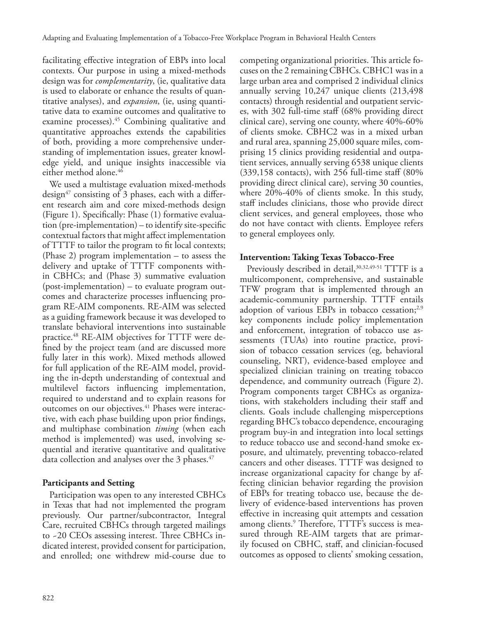facilitating effective integration of EBPs into local contexts. Our purpose in using a mixed-methods design was for *complementarity*, (ie, qualitative data is used to elaborate or enhance the results of quantitative analyses), and *expansion*, (ie, using quantitative data to examine outcomes and qualitative to examine processes).<sup>45</sup> Combining qualitative and quantitative approaches extends the capabilities of both, providing a more comprehensive understanding of implementation issues, greater knowledge yield, and unique insights inaccessible via either method alone.<sup>46</sup>

We used a multistage evaluation mixed-methods design<sup>47</sup> consisting of 3 phases, each with a different research aim and core mixed-methods design (Figure 1). Specifically: Phase (1) formative evaluation (pre-implementation) – to identify site-specific contextual factors that might affect implementation of TTTF to tailor the program to fit local contexts; (Phase 2) program implementation – to assess the delivery and uptake of TTTF components within CBHCs; and (Phase 3) summative evaluation (post-implementation) – to evaluate program outcomes and characterize processes influencing program RE-AIM components. RE-AIM was selected as a guiding framework because it was developed to translate behavioral interventions into sustainable practice.48 RE-AIM objectives for TTTF were defined by the project team (and are discussed more fully later in this work). Mixed methods allowed for full application of the RE-AIM model, providing the in-depth understanding of contextual and multilevel factors influencing implementation, required to understand and to explain reasons for outcomes on our objectives.<sup>41</sup> Phases were interactive, with each phase building upon prior findings, and multiphase combination *timing* (when each method is implemented) was used, involving sequential and iterative quantitative and qualitative data collection and analyses over the 3 phases. $47$ 

## **Participants and Setting**

Participation was open to any interested CBHCs in Texas that had not implemented the program previously. Our partner/subcontractor, Integral Care, recruited CBHCs through targeted mailings to ~20 CEOs assessing interest. Three CBHCs indicated interest, provided consent for participation, and enrolled; one withdrew mid-course due to

competing organizational priorities. This article focuses on the 2 remaining CBHCs. CBHC1 was in a large urban area and comprised 2 individual clinics annually serving 10,247 unique clients (213,498 contacts) through residential and outpatient services, with 302 full-time staff (68% providing direct clinical care), serving one county, where 40%-60% of clients smoke. CBHC2 was in a mixed urban and rural area, spanning 25,000 square miles, comprising 15 clinics providing residential and outpatient services, annually serving 6538 unique clients (339,158 contacts), with 256 full-time staff (80% providing direct clinical care), serving 30 counties, where 20%-40% of clients smoke. In this study, staff includes clinicians, those who provide direct client services, and general employees, those who do not have contact with clients. Employee refers to general employees only.

## **Intervention: Taking Texas Tobacco-Free**

Previously described in detail, 30,32,49-51 TTTF is a multicomponent, comprehensive, and sustainable TFW program that is implemented through an academic-community partnership. TTTF entails adoption of various EBPs in tobacco cessation; $^{2,9}$ key components include policy implementation and enforcement, integration of tobacco use assessments (TUAs) into routine practice, provision of tobacco cessation services (eg, behavioral counseling, NRT), evidence-based employee and specialized clinician training on treating tobacco dependence, and community outreach (Figure 2). Program components target CBHCs as organizations, with stakeholders including their staff and clients. Goals include challenging misperceptions regarding BHC's tobacco dependence, encouraging program buy-in and integration into local settings to reduce tobacco use and second-hand smoke exposure, and ultimately, preventing tobacco-related cancers and other diseases. TTTF was designed to increase organizational capacity for change by affecting clinician behavior regarding the provision of EBPs for treating tobacco use, because the delivery of evidence-based interventions has proven effective in increasing quit attempts and cessation among clients.<sup>9</sup> Therefore, TTTF's success is measured through RE-AIM targets that are primarily focused on CBHC, staff, and clinician-focused outcomes as opposed to clients' smoking cessation,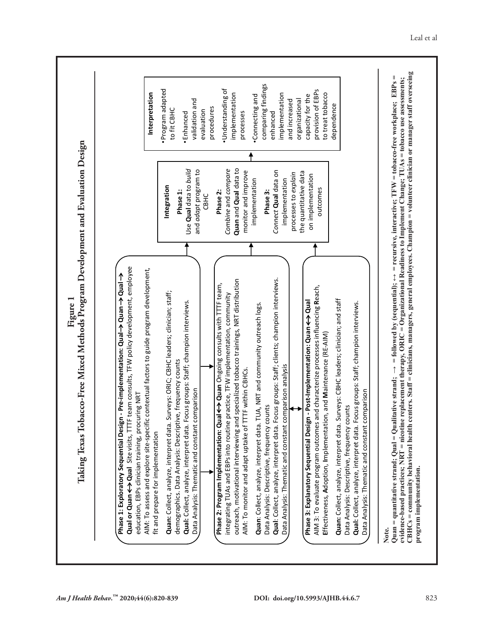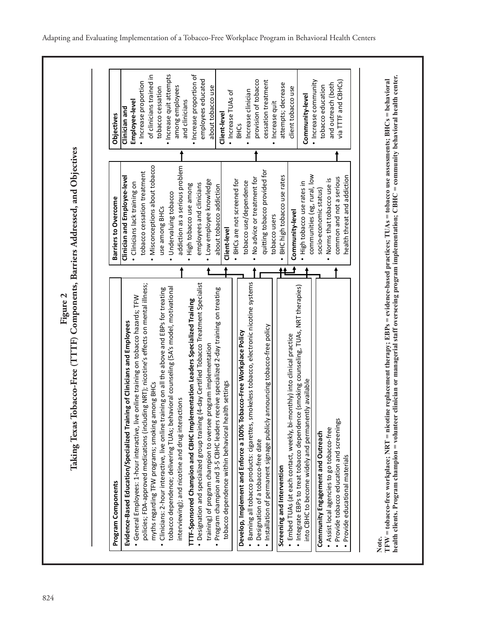Figure 2<br>Taking Texas Tobacco-Free (TTTF) Components, Barriers Addressed, and Objectives **Taking Texas Tobacco-Free (TTTF) Components, Barriers Addressed, and Objectives**

| Program Components                                                                                                                                                  | <b>Barriers to Overcome</b>                 | <b>Objectives</b>                              |
|---------------------------------------------------------------------------------------------------------------------------------------------------------------------|---------------------------------------------|------------------------------------------------|
| Evidence-Based Education/Specialized Training of Clinicians and Employees                                                                                           | Clinician and Employee-level                | Clinician and                                  |
| · General Employees: 1-hour interactive, live online training on tobacco hazards; TFW                                                                               | · Clinicians lack training on               | Employee-level                                 |
| policies; FDA-approved medications (including NRT); nicotine's effects on mental illness;                                                                           | tobacco cessation treatment                 | · Increase proportion                          |
| myths regarding TFW programs; smoking among BHCs                                                                                                                    | Misconceptions about tobacco                | of clinicians trained in                       |
| Clinicians: 2-hour interactive, live online training on all the above and EBPs for treating                                                                         | use among BHCs                              | tobacco cessation                              |
| tobacco dependence; delivering TUAs; behavioral counseling (5A's model, motivational                                                                                | Undervaluing tobacco                        | · Increase quit attempts                       |
| interviewing); and nicotine and drug interactions                                                                                                                   | addiction as a serious problem              | among employees                                |
| TTTF-Sponsored Champion and CBHC Implementation Leaders Specialized Training                                                                                        | High tobacco use among                      | and clinicians                                 |
| (4-day Certified Tobacco Treatment Specialist<br>• Designation and specialized group training                                                                       | employees and clinicians                    | · Increase proportion of<br>employees educated |
| program implementation<br>training) of program champion to oversee                                                                                                  | · Low employee knowledge                    | about tobacco use                              |
| Program champion and 3-5 CBHC leaders receive specialized 2-day training on treating                                                                                | about tobacco addiction                     | Client-level                                   |
| tobacco dependence within behavioral health settings                                                                                                                | Client-level                                | · Increase TUAs of                             |
|                                                                                                                                                                     | BHCs are not screened for                   | <b>BHCS</b>                                    |
| Develop, Implement and Enforce a 100% Tobacco-Free Workplace Policy                                                                                                 | tobacco use/dependence                      |                                                |
| Banning all tobacco products: cigarettes, smokeless tobacco, electronic nicotine systems                                                                            | No advice or treatment for                  | · Increase clinician                           |
| • Designation of a tobacco-free date                                                                                                                                |                                             | provision of tobacco                           |
| Installation of permanent signage publicly announcing tobacco-free policy                                                                                           | quitting tobacco provided for               | cessation treatment                            |
| Screening and Intervention                                                                                                                                          | BHC high tobacco use rates<br>tobacco users | attempts; decrease<br>Increase quit            |
|                                                                                                                                                                     |                                             |                                                |
| · Integrate EBPs to treat tobacco dependence (smoking counseling, TUAs, NRT therapies)<br>· Embed TUAs (at each contact, weekly, bi-monthly) into clinical practice | Community-level                             | client tobacco use                             |
| into CBHC to become widely and permanently available                                                                                                                | · High tobacco use rates in                 | Community-level                                |
|                                                                                                                                                                     | communities (eg, rural, low                 | · Increase community                           |
| Community Engagement and Outreach                                                                                                                                   | socio-economic status)                      | tobacco education                              |
| Assist local agencies to go tobacco-free                                                                                                                            | . Norms that tobacco use is                 | and outreach (both                             |
| · Provide tobacco education and screenings                                                                                                                          | common and not a serious                    | via TTTF and CBHCs)                            |
| Provide educational materials                                                                                                                                       | health threat and addiction                 |                                                |

Note.<br>TFW = tobacco-free workplace; NRT = nicotine replacement therapy; EBPs = evidence-based practices; TUAs = tobaco use assessments; BHCs = behavioral<br>health clients. Program champion = volunteer clinician or managerial **TFW = tobacco-free workplace; NRT = nicotine replacement therapy; EBPs = evidence-based practices; TUAs = tobacco use assessments; BHCs = behavioral health clients. Program champion = volunteer clinician or managerial staff overseeing program implementation; CBHC = community behavioral health center.**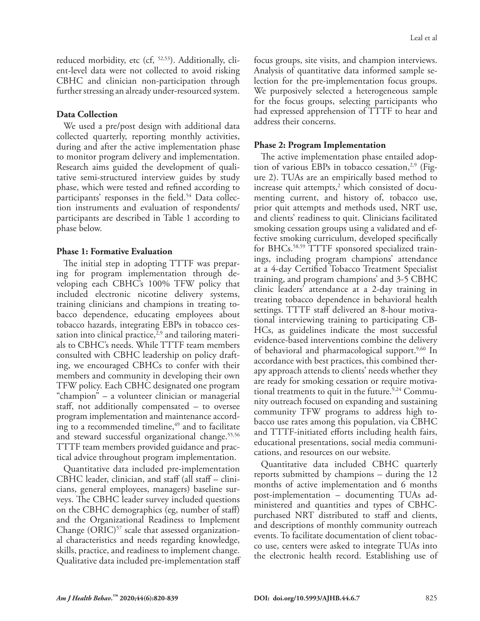reduced morbidity, etc (cf, 52,53). Additionally, client-level data were not collected to avoid risking CBHC and clinician non-participation through further stressing an already under-resourced system.

#### **Data Collection**

We used a pre/post design with additional data collected quarterly, reporting monthly activities, during and after the active implementation phase to monitor program delivery and implementation. Research aims guided the development of qualitative semi-structured interview guides by study phase, which were tested and refined according to participants' responses in the field.<sup>54</sup> Data collection instruments and evaluation of respondents/ participants are described in Table 1 according to phase below.

## **Phase 1: Formative Evaluation**

The initial step in adopting TTTF was preparing for program implementation through developing each CBHC's 100% TFW policy that included electronic nicotine delivery systems, training clinicians and champions in treating tobacco dependence, educating employees about tobacco hazards, integrating EBPs in tobacco cessation into clinical practice, $2,9$  and tailoring materials to CBHC's needs. While TTTF team members consulted with CBHC leadership on policy drafting, we encouraged CBHCs to confer with their members and community in developing their own TFW policy. Each CBHC designated one program "champion" – a volunteer clinician or managerial staff, not additionally compensated – to oversee program implementation and maintenance according to a recommended timeline,<sup>49</sup> and to facilitate and steward successful organizational change.<sup>55,56</sup> TTTF team members provided guidance and practical advice throughout program implementation.

Quantitative data included pre-implementation CBHC leader, clinician, and staff (all staff – clinicians, general employees, managers) baseline surveys. The CBHC leader survey included questions on the CBHC demographics (eg, number of staff) and the Organizational Readiness to Implement Change  $(ORIC)^{57}$  scale that assessed organizational characteristics and needs regarding knowledge, skills, practice, and readiness to implement change. Qualitative data included pre-implementation staff focus groups, site visits, and champion interviews. Analysis of quantitative data informed sample selection for the pre-implementation focus groups. We purposively selected a heterogeneous sample for the focus groups, selecting participants who had expressed apprehension of TTTF to hear and address their concerns.

## **Phase 2: Program Implementation**

The active implementation phase entailed adoption of various EBPs in tobacco cessation,<sup>2,9</sup> (Figure 2). TUAs are an empirically based method to increase quit attempts, $^2$  which consisted of documenting current, and history of, tobacco use, prior quit attempts and methods used, NRT use, and clients' readiness to quit. Clinicians facilitated smoking cessation groups using a validated and effective smoking curriculum, developed specifically for BHCs.58,59 TTTF sponsored specialized trainings, including program champions' attendance at a 4-day Certified Tobacco Treatment Specialist training, and program champions' and 3-5 CBHC clinic leaders' attendance at a 2-day training in treating tobacco dependence in behavioral health settings. TTTF staff delivered an 8-hour motivational interviewing training to participating CB-HCs, as guidelines indicate the most successful evidence-based interventions combine the delivery of behavioral and pharmacological support.<sup>9,60</sup> In accordance with best practices, this combined therapy approach attends to clients' needs whether they are ready for smoking cessation or require motivational treatments to quit in the future. $9,24$  Community outreach focused on expanding and sustaining community TFW programs to address high tobacco use rates among this population, via CBHC and TTTF-initiated efforts including health fairs, educational presentations, social media communications, and resources on our website.

Quantitative data included CBHC quarterly reports submitted by champions – during the 12 months of active implementation and 6 months post-implementation – documenting TUAs administered and quantities and types of CBHCpurchased NRT distributed to staff and clients, and descriptions of monthly community outreach events. To facilitate documentation of client tobacco use, centers were asked to integrate TUAs into the electronic health record. Establishing use of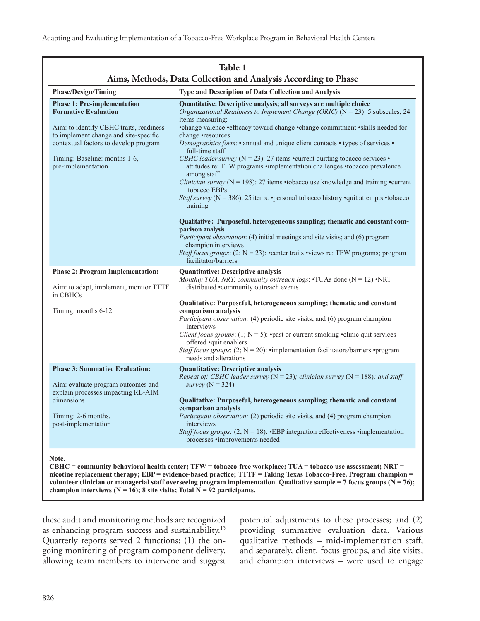| <b>Phase/Design/Timing</b>                                                                                                                                                                                                                            | Type and Description of Data Collection and Analysis                                                                                                                                                                                                                                                                                                                                                                                                                                                                                                                                                                                                                                                                                                                                                                                                                                                                                                                                             |
|-------------------------------------------------------------------------------------------------------------------------------------------------------------------------------------------------------------------------------------------------------|--------------------------------------------------------------------------------------------------------------------------------------------------------------------------------------------------------------------------------------------------------------------------------------------------------------------------------------------------------------------------------------------------------------------------------------------------------------------------------------------------------------------------------------------------------------------------------------------------------------------------------------------------------------------------------------------------------------------------------------------------------------------------------------------------------------------------------------------------------------------------------------------------------------------------------------------------------------------------------------------------|
| <b>Phase 1: Pre-implementation</b><br><b>Formative Evaluation</b><br>Aim: to identify CBHC traits, readiness<br>to implement change and site-specific<br>contextual factors to develop program<br>Timing: Baseline: months 1-6,<br>pre-implementation | Quantitative: Descriptive analysis; all surveys are multiple choice<br>Organizational Readiness to Implement Change (ORIC) ( $N = 23$ ): 5 subscales, 24<br>items measuring:<br>•change valence •efficacy toward change •change commitment •skills needed for<br>change •resources<br><i>Demographics form:</i> • annual and unique client contacts • types of services •<br>full-time staff<br>CBHC leader survey ( $N = 23$ ): 27 items •current quitting tobacco services •<br>attitudes re: TFW programs •implementation challenges •tobacco prevalence<br>among staff<br><i>Clinician survey</i> ( $N = 198$ ): 27 items •tobacco use knowledge and training •current<br>tobacco EBPs<br><i>Staff survey</i> ( $N = 386$ ): 25 items: • personal tobacco history • quit attempts • tobacco<br>training<br>Qualitative: Purposeful, heterogeneous sampling; thematic and constant com-<br>parison analysis<br>Participant observation: (4) initial meetings and site visits; and (6) program |
|                                                                                                                                                                                                                                                       | champion interviews<br><i>Staff focus groups:</i> $(2; N = 23)$ : • center traits • views re: TFW programs; program<br>facilitator/barriers                                                                                                                                                                                                                                                                                                                                                                                                                                                                                                                                                                                                                                                                                                                                                                                                                                                      |
| <b>Phase 2: Program Implementation:</b><br>Aim: to adapt, implement, monitor TTTF<br>in CBHCs<br>Timing: months 6-12                                                                                                                                  | <b>Quantitative: Descriptive analysis</b><br>Monthly TUA, NRT, community outreach logs: $\cdot$ TUAs done (N = 12) $\cdot$ NRT<br>distributed •community outreach events<br>Qualitative: Purposeful, heterogeneous sampling; thematic and constant<br>comparison analysis<br><i>Participant observation:</i> (4) periodic site visits; and (6) program champion                                                                                                                                                                                                                                                                                                                                                                                                                                                                                                                                                                                                                                  |
|                                                                                                                                                                                                                                                       | interviews<br><i>Client focus groups:</i> (1; $N = 5$ ): • past or current smoking • clinic quit services<br>offered .quit enablers<br><i>Staff focus groups:</i> (2; $N = 20$ ): • implementation facilitators/barriers • program<br>needs and alterations                                                                                                                                                                                                                                                                                                                                                                                                                                                                                                                                                                                                                                                                                                                                      |
| <b>Phase 3: Summative Evaluation:</b><br>Aim: evaluate program outcomes and<br>explain processes impacting RE-AIM<br>dimensions<br>Timing: 2-6 months,<br>post-implementation                                                                         | <b>Quantitative: Descriptive analysis</b><br>Repeat of: CBHC leader survey ( $N = 23$ ); clinician survey ( $N = 188$ ); and staff<br>survey ( $N = 324$ )<br>Qualitative: Purposeful, heterogeneous sampling; thematic and constant<br>comparison analysis<br>Participant observation: (2) periodic site visits, and (4) program champion<br>interviews<br><i>Staff focus groups:</i> (2; $N = 18$ ): •EBP integration effectiveness • implementation<br>processes •improvements needed                                                                                                                                                                                                                                                                                                                                                                                                                                                                                                         |

champion interviews  $(N = 16)$ ; 8 site visits; Total  $N = 92$  participants.

these audit and monitoring methods are recognized as enhancing program success and sustainability.15 Quarterly reports served 2 functions: (1) the ongoing monitoring of program component delivery, allowing team members to intervene and suggest

potential adjustments to these processes; and (2) providing summative evaluation data. Various qualitative methods – mid-implementation staff, and separately, client, focus groups, and site visits, and champion interviews – were used to engage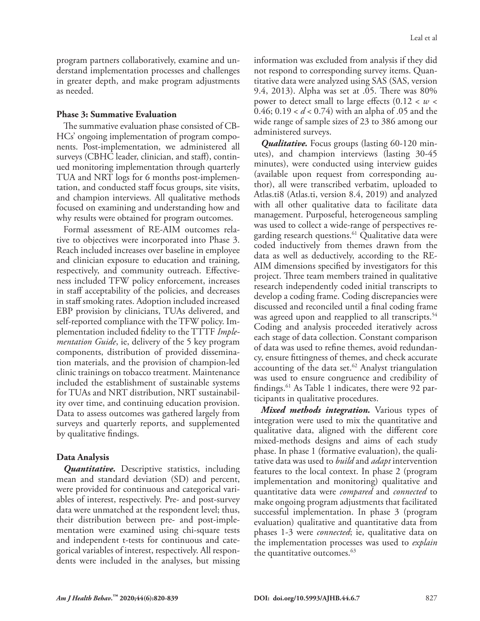program partners collaboratively, examine and understand implementation processes and challenges in greater depth, and make program adjustments as needed.

#### **Phase 3: Summative Evaluation**

The summative evaluation phase consisted of CB-HCs' ongoing implementation of program components. Post-implementation, we administered all surveys (CBHC leader, clinician, and staff), continued monitoring implementation through quarterly TUA and NRT logs for 6 months post-implementation, and conducted staff focus groups, site visits, and champion interviews. All qualitative methods focused on examining and understanding how and why results were obtained for program outcomes.

Formal assessment of RE-AIM outcomes relative to objectives were incorporated into Phase 3. Reach included increases over baseline in employee and clinician exposure to education and training, respectively, and community outreach. Effectiveness included TFW policy enforcement, increases in staff acceptability of the policies, and decreases in staff smoking rates. Adoption included increased EBP provision by clinicians, TUAs delivered, and self-reported compliance with the TFW policy. Implementation included fidelity to the TTTF *Implementation Guide*, ie, delivery of the 5 key program components, distribution of provided dissemination materials, and the provision of champion-led clinic trainings on tobacco treatment. Maintenance included the establishment of sustainable systems for TUAs and NRT distribution, NRT sustainability over time, and continuing education provision. Data to assess outcomes was gathered largely from surveys and quarterly reports, and supplemented by qualitative findings.

## **Data Analysis**

*Quantitative.* Descriptive statistics, including mean and standard deviation (SD) and percent, were provided for continuous and categorical variables of interest, respectively. Pre- and post-survey data were unmatched at the respondent level; thus, their distribution between pre- and post-implementation were examined using chi-square tests and independent t-tests for continuous and categorical variables of interest, respectively. All respondents were included in the analyses, but missing information was excluded from analysis if they did not respond to corresponding survey items. Quantitative data were analyzed using SAS (SAS, version 9.4, 2013). Alpha was set at .05. There was 80% power to detect small to large effects  $(0.12 < w <$ 0.46; 0.19 < *d* < 0.74) with an alpha of .05 and the wide range of sample sizes of 23 to 386 among our administered surveys.

*Qualitative.* Focus groups (lasting 60-120 minutes), and champion interviews (lasting 30-45 minutes), were conducted using interview guides (available upon request from corresponding author), all were transcribed verbatim, uploaded to Atlas.ti8 (Atlas.ti, version 8.4, 2019) and analyzed with all other qualitative data to facilitate data management. Purposeful, heterogeneous sampling was used to collect a wide-range of perspectives regarding research questions.<sup>61</sup> Qualitative data were coded inductively from themes drawn from the data as well as deductively, according to the RE-AIM dimensions specified by investigators for this project. Three team members trained in qualitative research independently coded initial transcripts to develop a coding frame. Coding discrepancies were discussed and reconciled until a final coding frame was agreed upon and reapplied to all transcripts.<sup>54</sup> Coding and analysis proceeded iteratively across each stage of data collection. Constant comparison of data was used to refine themes, avoid redundancy, ensure fittingness of themes, and check accurate accounting of the data set. $62$  Analyst triangulation was used to ensure congruence and credibility of findings.<sup>61</sup> As Table 1 indicates, there were 92 participants in qualitative procedures.

*Mixed methods integration.* Various types of integration were used to mix the quantitative and qualitative data, aligned with the different core mixed-methods designs and aims of each study phase. In phase 1 (formative evaluation), the qualitative data was used to *build* and *adapt* intervention features to the local context. In phase 2 (program implementation and monitoring) qualitative and quantitative data were *compared* and *connected* to make ongoing program adjustments that facilitated successful implementation. In phase 3 (program evaluation) qualitative and quantitative data from phases 1-3 were *connected*; ie, qualitative data on the implementation processes was used to *explain* the quantitative outcomes. $63$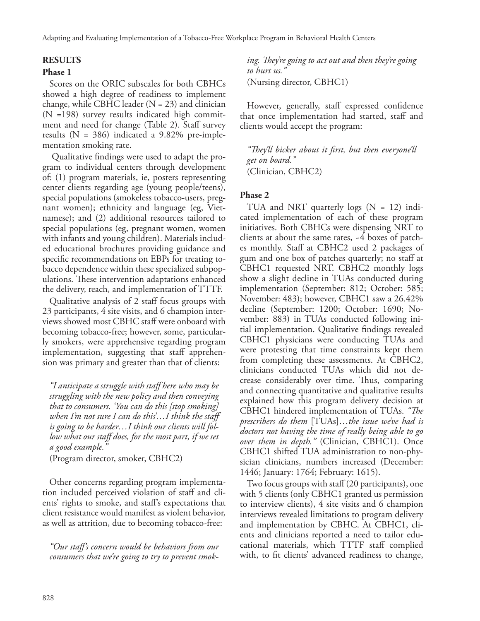## **RESULTS**

#### **Phase 1**

Scores on the ORIC subscales for both CBHCs showed a high degree of readiness to implement change, while CBHC leader  $(N = 23)$  and clinician (N =198) survey results indicated high commitment and need for change (Table 2). Staff survey results ( $N = 386$ ) indicated a 9.82% pre-implementation smoking rate.

 Qualitative findings were used to adapt the program to individual centers through development of: (1) program materials, ie, posters representing center clients regarding age (young people/teens), special populations (smokeless tobacco-users, pregnant women); ethnicity and language (eg, Vietnamese); and (2) additional resources tailored to special populations (eg, pregnant women, women with infants and young children). Materials included educational brochures providing guidance and specific recommendations on EBPs for treating tobacco dependence within these specialized subpopulations. These intervention adaptations enhanced the delivery, reach, and implementation of TTTF.

Qualitative analysis of 2 staff focus groups with 23 participants, 4 site visits, and 6 champion interviews showed most CBHC staff were onboard with becoming tobacco-free; however, some, particularly smokers, were apprehensive regarding program implementation, suggesting that staff apprehension was primary and greater than that of clients:

*"I anticipate a struggle with staff here who may be struggling with the new policy and then conveying that to consumers. 'You can do this [stop smoking] when I'm not sure I can do this'…I think the staff is going to be harder…I think our clients will follow what our staff does, for the most part, if we set a good example."* 

(Program director, smoker, CBHC2)

Other concerns regarding program implementation included perceived violation of staff and clients' rights to smoke, and staff's expectations that client resistance would manifest as violent behavior, as well as attrition, due to becoming tobacco-free:

*"Our staff's concern would be behaviors from our consumers that we're going to try to prevent smok-* *ing. They're going to act out and then they're going to hurt us."*  (Nursing director, CBHC1)

However, generally, staff expressed confidence that once implementation had started, staff and clients would accept the program:

*"They'll bicker about it first, but then everyone'll get on board."*  (Clinician, CBHC2)

#### **Phase 2**

TUA and NRT quarterly logs  $(N = 12)$  indicated implementation of each of these program initiatives. Both CBHCs were dispensing NRT to clients at about the same rates, ~4 boxes of patches monthly. Staff at CBHC2 used 2 packages of gum and one box of patches quarterly; no staff at CBHC1 requested NRT. CBHC2 monthly logs show a slight decline in TUAs conducted during implementation (September: 812; October: 585; November: 483); however, CBHC1 saw a 26.42% decline (September: 1200; October: 1690; November: 883) in TUAs conducted following initial implementation. Qualitative findings revealed CBHC1 physicians were conducting TUAs and were protesting that time constraints kept them from completing these assessments. At CBHC2, clinicians conducted TUAs which did not decrease considerably over time. Thus, comparing and connecting quantitative and qualitative results explained how this program delivery decision at CBHC1 hindered implementation of TUAs. *"The prescribers do them* [TUAs]…*the issue we've had is doctors not having the time of really being able to go over them in depth."* (Clinician, CBHC1). Once CBHC1 shifted TUA administration to non-physician clinicians, numbers increased (December: 1446; January: 1764; February: 1615).

Two focus groups with staff (20 participants), one with 5 clients (only CBHC1 granted us permission to interview clients), 4 site visits and 6 champion interviews revealed limitations to program delivery and implementation by CBHC. At CBHC1, clients and clinicians reported a need to tailor educational materials, which TTTF staff complied with, to fit clients' advanced readiness to change,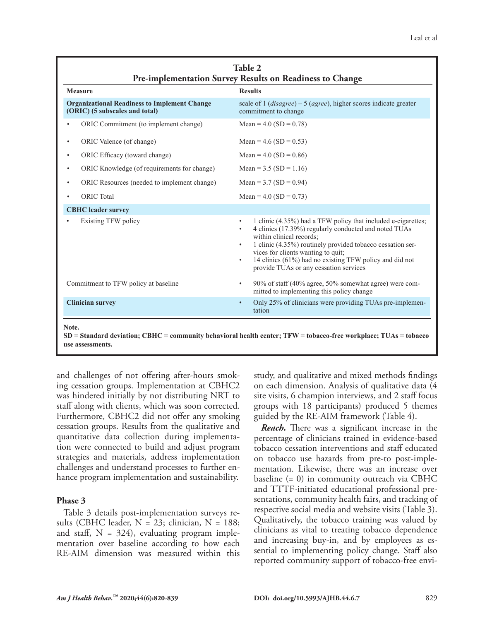| <b>Measure</b>                                                                        | <b>Results</b>                                                                                                                                                                                                                                                                                                                                                                                                  |
|---------------------------------------------------------------------------------------|-----------------------------------------------------------------------------------------------------------------------------------------------------------------------------------------------------------------------------------------------------------------------------------------------------------------------------------------------------------------------------------------------------------------|
| <b>Organizational Readiness to Implement Change</b><br>(ORIC) (5 subscales and total) | scale of $1$ ( <i>disagree</i> ) – $5$ ( <i>agree</i> ), higher scores indicate greater<br>commitment to change                                                                                                                                                                                                                                                                                                 |
| ORIC Commitment (to implement change)                                                 | Mean = $4.0$ (SD = 0.78)                                                                                                                                                                                                                                                                                                                                                                                        |
| ORIC Valence (of change)<br>$\bullet$                                                 | Mean = $4.6$ (SD = 0.53)                                                                                                                                                                                                                                                                                                                                                                                        |
| ORIC Efficacy (toward change)<br>$\bullet$                                            | Mean = $4.0$ (SD = 0.86)                                                                                                                                                                                                                                                                                                                                                                                        |
| ORIC Knowledge (of requirements for change)<br>$\bullet$                              | Mean = $3.5$ (SD = 1.16)                                                                                                                                                                                                                                                                                                                                                                                        |
| ORIC Resources (needed to implement change)<br>$\bullet$                              | Mean = $3.7$ (SD = 0.94)                                                                                                                                                                                                                                                                                                                                                                                        |
| <b>ORIC</b> Total<br>$\bullet$                                                        | Mean = $4.0$ (SD = 0.73)                                                                                                                                                                                                                                                                                                                                                                                        |
| <b>CBHC</b> leader survey                                                             |                                                                                                                                                                                                                                                                                                                                                                                                                 |
| Existing TFW policy                                                                   | 1 clinic (4.35%) had a TFW policy that included e-cigarettes;<br>$\bullet$<br>4 clinics (17.39%) regularly conducted and noted TUAs<br>$\bullet$<br>within clinical records;<br>1 clinic (4.35%) routinely provided tobacco cessation ser-<br>$\bullet$<br>vices for clients wanting to quit;<br>14 clinics (61%) had no existing TFW policy and did not<br>$\bullet$<br>provide TUAs or any cessation services |
| Commitment to TFW policy at baseline                                                  | 90% of staff (40% agree, 50% somewhat agree) were com-<br>٠<br>mitted to implementing this policy change                                                                                                                                                                                                                                                                                                        |
| <b>Clinician survey</b>                                                               | Only 25% of clinicians were providing TUAs pre-implemen-<br>$\bullet$<br>tation                                                                                                                                                                                                                                                                                                                                 |

**use assessments.**

and challenges of not offering after-hours smoking cessation groups. Implementation at CBHC2 was hindered initially by not distributing NRT to staff along with clients, which was soon corrected. Furthermore, CBHC2 did not offer any smoking cessation groups. Results from the qualitative and quantitative data collection during implementation were connected to build and adjust program strategies and materials, address implementation challenges and understand processes to further enhance program implementation and sustainability.

#### **Phase 3**

Table 3 details post-implementation surveys results (CBHC leader, N = 23; clinician, N = 188; and staff,  $N = 324$ , evaluating program implementation over baseline according to how each RE-AIM dimension was measured within this

study, and qualitative and mixed methods findings on each dimension. Analysis of qualitative data (4 site visits, 6 champion interviews, and 2 staff focus groups with 18 participants) produced 5 themes guided by the RE-AIM framework (Table 4).

*Reach.* There was a significant increase in the percentage of clinicians trained in evidence-based tobacco cessation interventions and staff educated on tobacco use hazards from pre-to post-implementation. Likewise, there was an increase over baseline (= 0) in community outreach via CBHC and TTTF-initiated educational professional presentations, community health fairs, and tracking of respective social media and website visits (Table 3). Qualitatively, the tobacco training was valued by clinicians as vital to treating tobacco dependence and increasing buy-in, and by employees as essential to implementing policy change. Staff also reported community support of tobacco-free envi-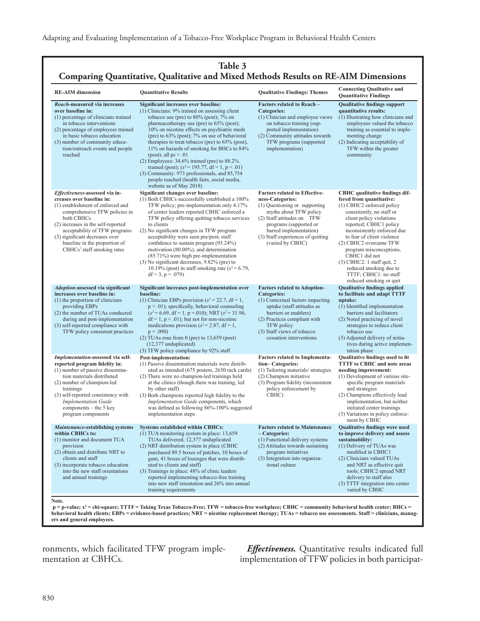| Table 3<br>Comparing Quantitative, Qualitative and Mixed Methods Results on RE-AIM Dimensions                                                                                                                                                                                                                           |                                                                                                                                                                                                                                                                                                                                                                                                                                                                                                                                                                                                                                                          |                                                                                                                                                                                                                                                                |                                                                                                                                                                                                                                                                                                                                                                                                                                    |
|-------------------------------------------------------------------------------------------------------------------------------------------------------------------------------------------------------------------------------------------------------------------------------------------------------------------------|----------------------------------------------------------------------------------------------------------------------------------------------------------------------------------------------------------------------------------------------------------------------------------------------------------------------------------------------------------------------------------------------------------------------------------------------------------------------------------------------------------------------------------------------------------------------------------------------------------------------------------------------------------|----------------------------------------------------------------------------------------------------------------------------------------------------------------------------------------------------------------------------------------------------------------|------------------------------------------------------------------------------------------------------------------------------------------------------------------------------------------------------------------------------------------------------------------------------------------------------------------------------------------------------------------------------------------------------------------------------------|
| <b>RE-AIM</b> dimension                                                                                                                                                                                                                                                                                                 | <b>Quantitative Results</b>                                                                                                                                                                                                                                                                                                                                                                                                                                                                                                                                                                                                                              | <b>Qualitative Findings: Themes</b>                                                                                                                                                                                                                            | <b>Connecting Qualitative and</b><br><b>Quantitative Findings</b>                                                                                                                                                                                                                                                                                                                                                                  |
| Reach-measured via increases<br>over baseline in:<br>(1) percentage of clinicians trained<br>in tobacco interventions<br>(2) percentage of employees trained<br>in basic tobacco education<br>(3) number of community educa-<br>tion/outreach events and people<br>reached                                              | Significant increases over baseline:<br>$(1)$ Clinicians: 9% trained on assessing client<br>tobacco use (pre) to $80\%$ (post); $7\%$ on<br>pharmacotherapy use (pre) to 65% (post);<br>10% on nicotine effects on psychiatric meds<br>(pre) to $63\%$ (post); 7% on use of behavioral<br>therapies to treat tobacco (pre) to $65\%$ (post),<br>11% on hazards of smoking for BHCs to 84%<br>(post); all $ps < 0.01$<br>(2) Employees: $34.6\%$ trained (pre) to $88.2\%$<br>trained (post); $(x^2 = 195.77, df = 1, p < .01)$<br>(3) Community: 973 professionals, and 85,754<br>people reached (health fairs, social media,<br>website as of May 2018) | Factors related to Reach -<br><b>Categories:</b><br>(1) Clinician and employee views<br>on tobacco training (sup-<br>ported implementation)<br>(2) Community attitudes towards<br>TFW programs (supported<br>implementation)                                   | <b>Qualitative findings support</b><br>quantitative results:<br>(1) Illustrating how clinicians and<br>employees valued the tobacco<br>training as essential to imple-<br>menting change<br>(2) Indicating acceptability of<br>TFW within the greater<br>community                                                                                                                                                                 |
| Effectiveness-assessed via in-<br>creases over baseline in:<br>(1) establishment of enforced and<br>comprehensive TFW policies in<br>both CBHCs<br>(2) increases in the self-reported<br>acceptability of TFW programs<br>(3) significant decreases over<br>baseline in the proportion of<br>CBHCs' staff smoking rates | Significant changes over baseline:<br>(1) Both CBHCs successfully established a 100%<br>TFW policy; pre-implementation only 4.17%<br>of center leaders reported CBHC enforced a<br>TFW policy offering quitting tobacco services<br>to clients<br>(2) No significant changes in TFW program<br>acceptability were seen pre/post; staff<br>confidence to sustain program (95.24%)<br>motivation (80.00%), and determination<br>(85.71%) were high pre-implementation<br>$(3)$ No significant decreases, 9.82% (pre) to<br>10.19% (post) in staff smoking rate $(x^2 = 6.79)$ ,<br>$df = 3$ , $p = .079$                                                   | <b>Factors related to Effective-</b><br>ness-Categories:<br>(1) Questioning or supporting<br>myths about TFW policy<br>(2) Staff attitudes on TFW<br>programs (supported or<br>barred implementation)<br>(3) Staff experiences of quitting<br>(varied by CBHC) | <b>CBHC</b> qualitative findings dif-<br>fered from quantitative:<br>(1) CBHC2 enforced policy<br>consistently, no staff or<br>client policy violations<br>reported; CBHC1 policy<br>inconsistently enforced due<br>to fear of client violence<br>(2) CBHC2 overcame TFW<br>program misconceptions,<br>CBHC1 did not<br>$(3)$ CBHC2: 1 staff quit, 2<br>reduced smoking due to<br>TTTF; CBHC1: no staff<br>reduced smoking or quit |
| <b>Adoption-assessed via significant</b><br>increases over baseline in:<br>(1) the proportion of clinicians<br>providing EBPs<br>(2) the number of TUAs conducted<br>during and post-implementation<br>(3) self-reported compliance with<br>TFW policy consistent practices                                             | Significant increases post-implementation over<br>baseline:<br>(1) Clinician EBPs provision ( $x^2 = 22.7$ , df = 1,<br>$p < .01$ ); specifically, behavioral counseling<br>$(x^2 = 6.69, df = 1, p = .010)$ ; NRT $(x^2 = 31.98,$<br>$df = 1$ , $p < .01$ ); but not for non-nicotine<br>medications provision ( $x^2$ = 2.87, df = 1,<br>$p = .090$<br>$(2)$ TUAs rose from 0 (pre) to 13,659 (post)<br>$(12,377$ unduplicated)<br>(3) TFW policy compliance by 92% staff                                                                                                                                                                              | <b>Factors related to Adoption-</b><br><b>Categories:</b><br>(1) Contextual factors impacting<br>uptake (staff attitudes as<br>barriers or enablers)<br>(2) Practices compliant with<br>TFW policy<br>(3) Staff views of tobacco<br>cessation interventions    | <b>Qualitative findings applied</b><br>to facilitate and adapt TTTF<br>uptake:<br>(1) Identified implementation<br>barriers and facilitators<br>(2) Noted practicing of novel<br>strategies to reduce client<br>tobacco use<br>(3) Adjusted delivery of initia-<br>tives during active implemen-<br>tation phase                                                                                                                   |
| Implementation-assessed via self-<br>reported program fidelity in:<br>(1) number of passive dissemina-<br>tion materials distributed<br>(2) number of champion-led<br>trainings<br>(3) self-reported consistency with<br><b>Implementation Guide</b><br>components - the 5 key<br>program components                    | Post-implementation:<br>(1) Passive dissemination materials were distrib-<br>uted as intended (675 posters, 2650 rack cards)<br>(2) There were no champion-led trainings held<br>at the clinics (though there was training, led<br>by other staff)<br>(3) Both champions reported high fidelity to the<br>Implementation Guide components, which<br>was defined as following 86%-100% suggested<br>implementation steps                                                                                                                                                                                                                                  | <b>Factors related to Implementa-</b><br>tion-Categories:<br>(1) Tailoring materials/strategies<br>(2) Champion initiative<br>(3) Program fidelity (inconsistent<br>policy enforcement by<br>CBHC)                                                             | Qualitative findings used to fit<br><b>TTTF</b> to CBHC and note areas<br>needing improvement:<br>(1) Development of various site-<br>specific program materials<br>and strategies<br>(2) Champions effectively lead<br>implementation, but neither<br>initiated center trainings<br>(3) Variations in policy enforce-<br>ment by CBHC                                                                                             |
| Maintenance-establishing systems<br>within CBHCs to:<br>(1) monitor and document TUA<br>provision<br>(2) obtain and distribute NRT to<br>clients and staff<br>(3) incorporate tobacco education<br>into the new staff orientations<br>and annual trainings<br>Note.                                                     | <b>Systems established within CBHCs:</b><br>$(1)$ TUA monitoring system in place: 13,659<br>TUAs delivered, 12,377 unduplicated<br>(2) NRT distribution system in place (CBHC<br>purchased 89.5 boxes of patches, 10 boxes of<br>gum, 41 boxes of lozenges that were distrib-<br>uted to clients and staff)<br>(3) Trainings in place: 48% of clinic leaders<br>reported implementing tobacco-free training<br>into new staff orientation and 26% into annual<br>training requirements                                                                                                                                                                   | <b>Factors related to Maintenance</b><br>- Categories:<br>(1) Functional delivery systems<br>(2) Attitudes towards sustaining<br>program initiatives<br>(3) Integration into organiza-<br>tional culture                                                       | <b>Oualitative findings were used</b><br>to improve delivery and assess<br>sustainability:<br>(1) Delivery of TUAs was<br>modified in CBHC1<br>(2) Clinicians valued TUAs<br>and NRT as effective quit<br>tools; CBHC2 spread NRT<br>delivery to staff also<br>(3) TTTF integration into center<br>varied by CBHC                                                                                                                  |

p = p-value; x<sup>2</sup> = chi-square; TTTF = Taking Texas Tobacco-Free; TFW = tobacco-free workplace; CBHC = community behavioral health center; BHCs = **behavioral health clients; EBPs = evidence-based practices; NRT = nicotine replacement therapy; TUAs = tobacco use assessments. Staff = clinicians, managers and general employees.**

ronments, which facilitated TFW program implementation at CBHCs.

*Effectiveness.* Quantitative results indicated full implementation of TFW policies in both participat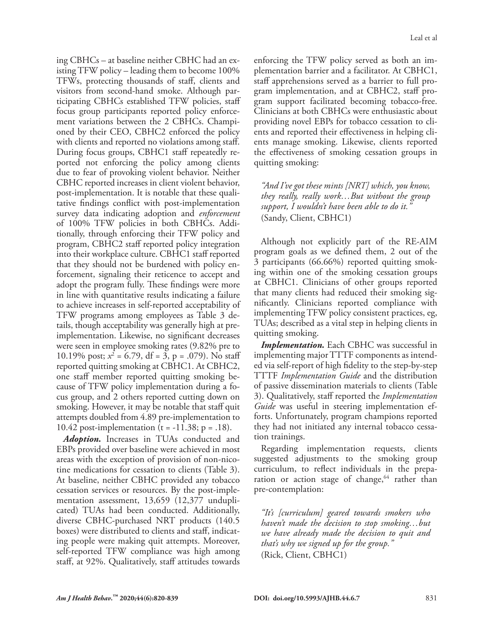ing CBHCs – at baseline neither CBHC had an existing TFW policy – leading them to become 100% TFWs, protecting thousands of staff, clients and visitors from second-hand smoke. Although participating CBHCs established TFW policies, staff focus group participants reported policy enforcement variations between the 2 CBHCs. Championed by their CEO, CBHC2 enforced the policy with clients and reported no violations among staff. During focus groups, CBHC1 staff repeatedly reported not enforcing the policy among clients due to fear of provoking violent behavior. Neither CBHC reported increases in client violent behavior, post-implementation. It is notable that these qualitative findings conflict with post-implementation survey data indicating adoption and *enforcement* of 100% TFW policies in both CBHCs. Additionally, through enforcing their TFW policy and program, CBHC2 staff reported policy integration into their workplace culture. CBHC1 staff reported that they should not be burdened with policy enforcement, signaling their reticence to accept and adopt the program fully. These findings were more in line with quantitative results indicating a failure to achieve increases in self-reported acceptability of TFW programs among employees as Table 3 details, though acceptability was generally high at preimplementation. Likewise, no significant decreases were seen in employee smoking rates (9.82% pre to 10.19% post;  $x^2 = 6.79$ , df = 3, p = .079). No staff reported quitting smoking at CBHC1. At CBHC2, one staff member reported quitting smoking because of TFW policy implementation during a focus group, and 2 others reported cutting down on smoking. However, it may be notable that staff quit attempts doubled from 4.89 pre-implementation to 10.42 post-implementation (t =  $-11.38$ ; p = .18).

*Adoption.* Increases in TUAs conducted and EBPs provided over baseline were achieved in most areas with the exception of provision of non-nicotine medications for cessation to clients (Table 3). At baseline, neither CBHC provided any tobacco cessation services or resources. By the post-implementation assessment, 13,659 (12,377 unduplicated) TUAs had been conducted. Additionally, diverse CBHC-purchased NRT products (140.5 boxes) were distributed to clients and staff, indicating people were making quit attempts. Moreover, self-reported TFW compliance was high among staff, at 92%. Qualitatively, staff attitudes towards enforcing the TFW policy served as both an implementation barrier and a facilitator. At CBHC1, staff apprehensions served as a barrier to full program implementation, and at CBHC2, staff program support facilitated becoming tobacco-free. Clinicians at both CBHCs were enthusiastic about providing novel EBPs for tobacco cessation to clients and reported their effectiveness in helping clients manage smoking. Likewise, clients reported the effectiveness of smoking cessation groups in quitting smoking:

*"And I've got these mints [NRT] which, you know, they really, really work…But without the group support, I wouldn't have been able to do it."*  (Sandy, Client, CBHC1)

Although not explicitly part of the RE-AIM program goals as we defined them, 2 out of the 3 participants (66.66%) reported quitting smoking within one of the smoking cessation groups at CBHC1. Clinicians of other groups reported that many clients had reduced their smoking significantly. Clinicians reported compliance with implementing TFW policy consistent practices, eg, TUAs; described as a vital step in helping clients in quitting smoking.

*Implementation.* Each CBHC was successful in implementing major TTTF components as intended via self-report of high fidelity to the step-by-step TTTF *Implementation Guide* and the distribution of passive dissemination materials to clients (Table 3). Qualitatively, staff reported the *Implementation Guide* was useful in steering implementation efforts. Unfortunately, program champions reported they had not initiated any internal tobacco cessation trainings.

Regarding implementation requests, clients suggested adjustments to the smoking group curriculum, to reflect individuals in the preparation or action stage of change, $64$  rather than pre-contemplation:

*"It's [curriculum] geared towards smokers who haven't made the decision to stop smoking…but we have already made the decision to quit and that's why we signed up for the group."*  (Rick, Client, CBHC1)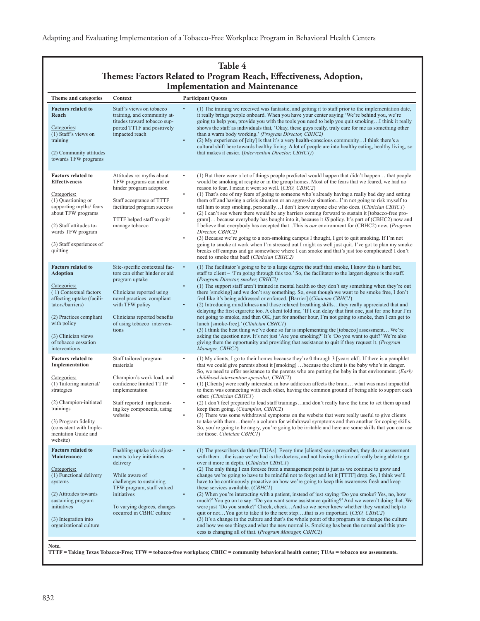## **Table 4 Themes: Factors Related to Program Reach, Effectiveness, Adoption, Implementation and Maintenance**

| Theme and categories                                                                                                                                                                                                                             | Context                                                                                                                                                                                                                              | <b>Participant Quotes</b>                                                                                                                                                                                                                                                                                                                                                                                                                                                                                                                                                                                                                                                                                                                                                                                                                                                                                                                                                                                                                                                                                                                                                                                                                                                                                       |
|--------------------------------------------------------------------------------------------------------------------------------------------------------------------------------------------------------------------------------------------------|--------------------------------------------------------------------------------------------------------------------------------------------------------------------------------------------------------------------------------------|-----------------------------------------------------------------------------------------------------------------------------------------------------------------------------------------------------------------------------------------------------------------------------------------------------------------------------------------------------------------------------------------------------------------------------------------------------------------------------------------------------------------------------------------------------------------------------------------------------------------------------------------------------------------------------------------------------------------------------------------------------------------------------------------------------------------------------------------------------------------------------------------------------------------------------------------------------------------------------------------------------------------------------------------------------------------------------------------------------------------------------------------------------------------------------------------------------------------------------------------------------------------------------------------------------------------|
| <b>Factors related to</b><br>Reach<br>Categories:<br>(1) Staff's views on<br>training<br>(2) Community attitudes<br>towards TFW programs                                                                                                         | Staff's views on tobacco<br>training, and community at-<br>titudes toward tobacco sup-<br>ported TTTF and positively<br>impacted reach                                                                                               | (1) The training we received was fantastic, and getting it to staff prior to the implementation date,<br>$\bullet$<br>it really brings people onboard. When you have your center saying 'We're behind you, we're<br>going to help you, provide you with the tools you need to help you quit smoking I think it really<br>shows the staff as individuals that, 'Okay, these guys really, truly care for me as something other<br>than a warm body working.' (Program Director, CBHC2)<br>(2) My experience of [city] is that it's a very health-conscious community I think there's a<br>$\bullet$<br>cultural shift here towards healthy living. A lot of people are into healthy eating, healthy living, so<br>that makes it easier. (Intervention Director, CBHC1))                                                                                                                                                                                                                                                                                                                                                                                                                                                                                                                                           |
| <b>Factors related to</b><br><b>Effectiveness</b><br>Categories:<br>$(1)$ Questioning or<br>supporting myths/ fears<br>about TFW programs<br>(2) Staff attitudes to-<br>wards TFW program<br>(3) Staff experiences of<br>quitting                | Attitudes re: myths about<br>TFW programs can aid or<br>hinder program adoption<br>Staff acceptance of TTTF<br>facilitated program success<br>TTTF helped staff to quit/<br>manage tobacco                                           | (1) But there were a lot of things people predicted would happen that didn't happen that people<br>$\bullet$<br>would be smoking at respite or in the group homes. Most of the fears that we feared, we had no<br>reason to fear. I mean it went so well. (CEO, CBHC2)<br>(1) That's one of my fears of going to someone who's already having a really bad day and setting<br>$\bullet$<br>them off and having a crisis situation or an aggressive situationI'm not going to risk myself to<br>tell him to stop smoking, personallyI don't know anyone else who does. (Clinician CBHCI)<br>$\bullet$<br>(2) I can't see where there would be any barriers coming forward to sustain it [tobacco-free pro-<br>gram] because everybody has bought into it, because it IS policy. It's part of (CBHC2) now and<br>I believe that everybody has accepted thatThis is <i>our</i> environment for (CBHC2) now. ( <i>Program</i> )<br>Director, CBHC2)<br>$\bullet$<br>(3) Because we're going to a non-smoking campus I thought, I got to quit smoking. If I'm not<br>going to smoke at work when I'm stressed out I might as well just quit. I've got to plan my smoke<br>breaks off campus and go somewhere where I can smoke and that's just too complicated! I don't<br>need to smoke that bad! (Clinician CBHC2) |
| <b>Factors related to</b><br><b>Adoption</b><br>Categories:<br>(1) Contextual factors<br>affecting uptake (facili-<br>tators/barriers)<br>(2) Practices compliant<br>with policy<br>(3) Clinician views<br>of tobacco cessation<br>interventions | Site-specific contextual fac-<br>tors can either hinder or aid<br>program uptake<br>Clinicians reported using<br>novel practices compliant<br>with TFW policy<br>Clinicians reported benefits<br>of using tobacco interven-<br>tions | (1) The facilitator's going to be to a large degree the staff that smoke, I know this is hard but,<br>$\bullet$<br>staff to client – 'I'm going through this too.' So, the facilitator to the largest degree is the staff.<br>(Program Director, smoker, CBHC2)<br>(1) The support staff aren't trained in mental health so they don't say something when they're out<br>$\bullet$<br>there [smoking] and we don't say something. So, even though we want to be smoke free, I don't<br>feel like it's being addressed or enforced. [Barrier] (Clinician CBHC1)<br>(2) Introducing mindfulness and those relaxed breathing skillsthey really appreciated that and<br>$\bullet$<br>delaying the first cigarette too. A client told me, 'If I can delay that first one, just for one hour I'm<br>not going to smoke, and then OK, just for another hour, I'm not going to smoke, then I can get to<br>lunch [smoke-free].' (Clinician CBHC1)<br>(3) I think the best thing we've done so far is implementing the [tobacco] assessment We're<br>$\bullet$<br>asking the question now. It's not just 'Are you smoking?' It's 'Do you want to quit?' We're also<br>giving them the opportunity and providing that assistance to quit if they request it. ( <i>Program</i><br>Manager, CBHC2)                          |
| <b>Factors related to</b><br>Implementation<br>Categories:<br>(1) Tailoring material/<br>strategies<br>(2) Champion-initiated<br>trainings<br>(3) Program fidelity<br>(consistent with Imple-<br>mentation Guide and<br>website)                 | Staff tailored program<br>materials<br>Champion's work load, and<br>confidence limited TTTF<br>implementation<br>Staff reported implement-<br>ing key components, using<br>website                                                   | (1) My clients, I go to their homes because they're 0 through 3 [years old]. If there is a pamphlet<br>that we could give parents about it [smoking]  because the client is the baby who's in danger.<br>So, we need to offer assistance to the parents who are putting the baby in that environment. (Early<br>childhood intervention specialist, CBHC2)<br>(1) [Clients] were really interested in how addiction affects the brain what was most impactful<br>$\bullet$<br>to them was connecting with each other, having the common ground of being able to support each<br>other. (Clinician CBHC1)<br>(2) I don't feel prepared to lead staff trainingsand don't really have the time to set them up and<br>$\bullet$<br>keep them going. (Champion, CBHC2)<br>(3) There was some withdrawal symptoms on the website that were really useful to give clients<br>to take with themthere's a column for withdrawal symptoms and then another for coping skills.<br>So, you're going to be angry, you're going to be irritable and here are some skills that you can use<br>for those. Clinician CBHC1)                                                                                                                                                                                                       |
| <b>Factors related to</b><br>Maintenance<br>Categories:<br>(1) Functional delivery<br>systems<br>(2) Attitudes towards<br>sustaining program<br>initiatives<br>(3) Integration into<br>organizational culture                                    | Enabling uptake via adjust-<br>ments to key initiatives<br>delivery<br>While aware of<br>challenges to sustaining<br>TFW program, staff valued<br>initiatives<br>To varying degrees, changes<br>occurred in CBHC culture             | (1) The prescribers do them [TUAs]. Every time [clients] see a prescriber, they do an assessment<br>$\bullet$<br>with themthe issue we've had is the doctors, and not having the time of really being able to go<br>over it more in depth. (Clinician CBHC1)<br>(2) The only thing I can foresee from a management point is just as we continue to grow and<br>$\bullet$<br>change we're going to have to be mindful not to forget and let it [TTTF] drop. So, I think we'll<br>have to be continuously proactive on how we're going to keep this awareness fresh and keep<br>these services available. (CBHC1)<br>(2) When you're interacting with a patient, instead of just saying 'Do you smoke? Yes, no, how<br>$\bullet$<br>much?' You go on to say: 'Do you want some assistance quitting?' And we weren't doing that. We<br>were just 'Do you smoke?' Check, checkAnd so we never knew whether they wanted help to<br>quit or notYou got to take it to the next stepthat is so important. (CEO, CBHC2)<br>$\bullet$<br>(3) It's a change in the culture and that's the whole point of the program is to change the culture<br>and how we see things and what the new normal is. Smoking has been the normal and this pro-<br>cess is changing all of that. ( <i>Program Manager</i> , <i>CBHC2</i> )    |

**TTTF = Taking Texas Tobacco-Free; TFW = tobacco-free workplace; CBHC = community behavioral health center; TUAs = tobacco use assessments.**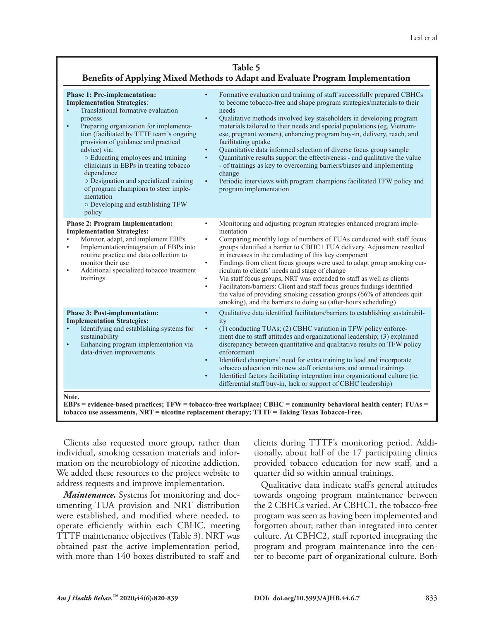## **Table 5 Benefits of Applying Mixed Methods to Adapt and Evaluate Program Implementation**

| <b>Phase 1: Pre-implementation:</b><br><b>Implementation Strategies:</b><br>Translational formative evaluation<br>process<br>Preparing organization for implementa-<br>$\bullet$<br>tion (facilitated by TTTF team's ongoing<br>provision of guidance and practical<br>advice) via:<br>o Educating employees and training<br>clinicians in EBPs in treating tobacco<br>dependence<br>o Designation and specialized training<br>of program champions to steer imple-<br>mentation<br>o Developing and establishing TFW<br>policy | Formative evaluation and training of staff successfully prepared CBHCs<br>$\bullet$<br>to become tobacco-free and shape program strategies/materials to their<br>needs<br>$\bullet$<br>Qualitative methods involved key stakeholders in developing program<br>materials tailored to their needs and special populations (eg, Vietnam-<br>ese, pregnant women), enhancing program buy-in, delivery, reach, and<br>facilitating uptake<br>Quantitative data informed selection of diverse focus group sample<br>$\bullet$<br>Quantitative results support the effectiveness - and qualitative the value<br>$\bullet$<br>- of trainings as key to overcoming barriers/biases and implementing<br>change<br>Periodic interviews with program champions facilitated TFW policy and<br>$\bullet$<br>program implementation |
|---------------------------------------------------------------------------------------------------------------------------------------------------------------------------------------------------------------------------------------------------------------------------------------------------------------------------------------------------------------------------------------------------------------------------------------------------------------------------------------------------------------------------------|----------------------------------------------------------------------------------------------------------------------------------------------------------------------------------------------------------------------------------------------------------------------------------------------------------------------------------------------------------------------------------------------------------------------------------------------------------------------------------------------------------------------------------------------------------------------------------------------------------------------------------------------------------------------------------------------------------------------------------------------------------------------------------------------------------------------|
| <b>Phase 2: Program Implementation:</b><br><b>Implementation Strategies:</b><br>Monitor, adapt, and implement EBPs<br>Implementation/integration of EBPs into<br>$\bullet$<br>routine practice and data collection to<br>monitor their use<br>Additional specialized tobacco treatment<br>٠<br>trainings                                                                                                                                                                                                                        | Monitoring and adjusting program strategies enhanced program imple-<br>$\bullet$<br>mentation<br>Comparing monthly logs of numbers of TUAs conducted with staff focus<br>$\bullet$<br>groups identified a barrier to CBHC1 TUA delivery. Adjustment resulted<br>in increases in the conducting of this key component<br>Findings from client focus groups were used to adapt group smoking cur-<br>$\bullet$<br>riculum to clients' needs and stage of change<br>Via staff focus groups, NRT was extended to staff as well as clients<br>$\bullet$<br>Facilitators/barriers: Client and staff focus groups findings identified<br>$\bullet$<br>the value of providing smoking cessation groups (66% of attendees quit<br>smoking), and the barriers to doing so (after-hours scheduling)                             |
| <b>Phase 3: Post-implementation:</b><br><b>Implementation Strategies:</b><br>Identifying and establishing systems for<br>$\bullet$<br>sustainability<br>Enhancing program implementation via<br>$\bullet$<br>data-driven improvements                                                                                                                                                                                                                                                                                           | Qualitative data identified facilitators/barriers to establishing sustainabil-<br>$\bullet$<br>ity<br>(1) conducting TUAs; (2) CBHC variation in TFW policy enforce-<br>$\bullet$<br>ment due to staff attitudes and organizational leadership; (3) explained<br>discrepancy between quantitative and qualitative results on TFW policy<br>enforcement<br>Identified champions' need for extra training to lead and incorporate<br>$\bullet$<br>tobacco education into new staff orientations and annual trainings<br>Identified factors facilitating integration into organizational culture (ie,<br>$\bullet$<br>differential staff buy-in, lack or support of CBHC leadership)                                                                                                                                    |

**tobacco use assessments, NRT = nicotine replacement therapy; TTTF = Taking Texas Tobacco-Free.**

Clients also requested more group, rather than individual, smoking cessation materials and information on the neurobiology of nicotine addiction. We added these resources to the project website to address requests and improve implementation.

*Maintenance.* Systems for monitoring and documenting TUA provision and NRT distribution were established, and modified where needed, to operate efficiently within each CBHC, meeting TTTF maintenance objectives (Table 3). NRT was obtained past the active implementation period, with more than 140 boxes distributed to staff and clients during TTTF's monitoring period. Additionally, about half of the 17 participating clinics provided tobacco education for new staff, and a quarter did so within annual trainings.

Qualitative data indicate staff's general attitudes towards ongoing program maintenance between the 2 CBHCs varied. At CBHC1, the tobacco-free program was seen as having been implemented and forgotten about; rather than integrated into center culture. At CBHC2, staff reported integrating the program and program maintenance into the center to become part of organizational culture. Both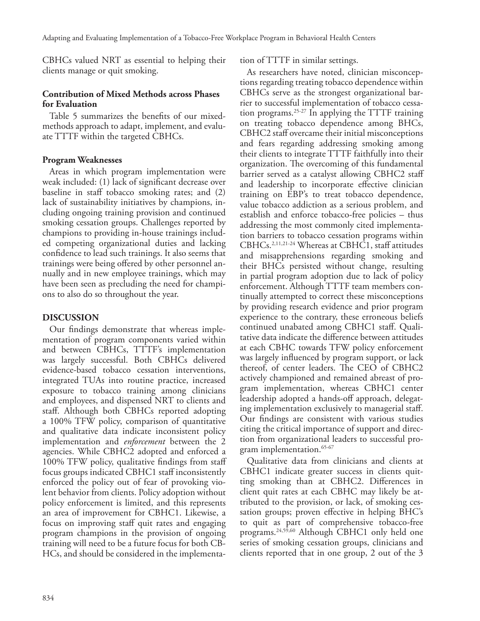CBHCs valued NRT as essential to helping their clients manage or quit smoking.

## **Contribution of Mixed Methods across Phases for Evaluation**

Table 5 summarizes the benefits of our mixedmethods approach to adapt, implement, and evaluate TTTF within the targeted CBHCs.

## **Program Weaknesses**

Areas in which program implementation were weak included: (1) lack of significant decrease over baseline in staff tobacco smoking rates; and (2) lack of sustainability initiatives by champions, including ongoing training provision and continued smoking cessation groups. Challenges reported by champions to providing in-house trainings included competing organizational duties and lacking confidence to lead such trainings. It also seems that trainings were being offered by other personnel annually and in new employee trainings, which may have been seen as precluding the need for champions to also do so throughout the year.

## **DISCUSSION**

Our findings demonstrate that whereas implementation of program components varied within and between CBHCs, TTTF's implementation was largely successful. Both CBHCs delivered evidence-based tobacco cessation interventions, integrated TUAs into routine practice, increased exposure to tobacco training among clinicians and employees, and dispensed NRT to clients and staff. Although both CBHCs reported adopting a 100% TFW policy, comparison of quantitative and qualitative data indicate inconsistent policy implementation and *enforcement* between the 2 agencies. While CBHC2 adopted and enforced a 100% TFW policy, qualitative findings from staff focus groups indicated CBHC1 staff inconsistently enforced the policy out of fear of provoking violent behavior from clients. Policy adoption without policy enforcement is limited, and this represents an area of improvement for CBHC1. Likewise, a focus on improving staff quit rates and engaging program champions in the provision of ongoing training will need to be a future focus for both CB-HCs, and should be considered in the implementation of TTTF in similar settings.

As researchers have noted, clinician misconceptions regarding treating tobacco dependence within CBHCs serve as the strongest organizational barrier to successful implementation of tobacco cessation programs.<sup>25-27</sup> In applying the TTTF training on treating tobacco dependence among BHCs, CBHC2 staff overcame their initial misconceptions and fears regarding addressing smoking among their clients to integrate TTTF faithfully into their organization. The overcoming of this fundamental barrier served as a catalyst allowing CBHC2 staff and leadership to incorporate effective clinician training on EBP's to treat tobacco dependence, value tobacco addiction as a serious problem, and establish and enforce tobacco-free policies – thus addressing the most commonly cited implementation barriers to tobacco cessation programs within CBHCs.2,11,21-24 Whereas at CBHC1, staff attitudes and misapprehensions regarding smoking and their BHCs persisted without change, resulting in partial program adoption due to lack of policy enforcement. Although TTTF team members continually attempted to correct these misconceptions by providing research evidence and prior program experience to the contrary, these erroneous beliefs continued unabated among CBHC1 staff. Qualitative data indicate the difference between attitudes at each CBHC towards TFW policy enforcement was largely influenced by program support, or lack thereof, of center leaders. The CEO of CBHC2 actively championed and remained abreast of program implementation, whereas CBHC1 center leadership adopted a hands-off approach, delegating implementation exclusively to managerial staff. Our findings are consistent with various studies citing the critical importance of support and direction from organizational leaders to successful program implementation.<sup>65-67</sup>

Qualitative data from clinicians and clients at CBHC1 indicate greater success in clients quitting smoking than at CBHC2. Differences in client quit rates at each CBHC may likely be attributed to the provision, or lack, of smoking cessation groups; proven effective in helping BHC's to quit as part of comprehensive tobacco-free programs.24,59,60 Although CBHC1 only held one series of smoking cessation groups, clinicians and clients reported that in one group, 2 out of the 3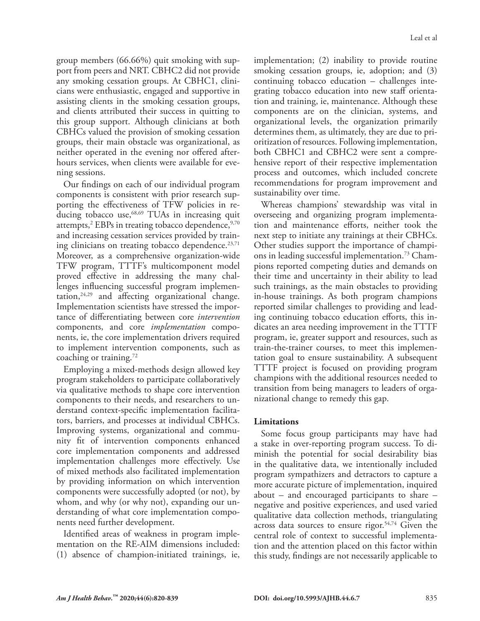group members (66.66%) quit smoking with support from peers and NRT. CBHC2 did not provide any smoking cessation groups. At CBHC1, clinicians were enthusiastic, engaged and supportive in assisting clients in the smoking cessation groups, and clients attributed their success in quitting to this group support. Although clinicians at both CBHCs valued the provision of smoking cessation groups, their main obstacle was organizational, as neither operated in the evening nor offered afterhours services, when clients were available for evening sessions.

Our findings on each of our individual program components is consistent with prior research supporting the effectiveness of TFW policies in reducing tobacco use,<sup>68,69</sup> TUAs in increasing quit attempts, $\rm{^{2}$  EBPs in treating tobacco dependence, $\rm{^{9,70}}$ and increasing cessation services provided by training clinicians on treating tobacco dependence.<sup>23,71</sup> Moreover, as a comprehensive organization-wide TFW program, TTTF's multicomponent model proved effective in addressing the many challenges influencing successful program implementation, $24,29$  and affecting organizational change. Implementation scientists have stressed the importance of differentiating between core *intervention*  components, and core *implementation* components, ie, the core implementation drivers required to implement intervention components, such as coaching or training. $72$ 

Employing a mixed-methods design allowed key program stakeholders to participate collaboratively via qualitative methods to shape core intervention components to their needs, and researchers to understand context-specific implementation facilitators, barriers, and processes at individual CBHCs. Improving systems, organizational and community fit of intervention components enhanced core implementation components and addressed implementation challenges more effectively. Use of mixed methods also facilitated implementation by providing information on which intervention components were successfully adopted (or not), by whom, and why (or why not), expanding our understanding of what core implementation components need further development.

Identified areas of weakness in program implementation on the RE-AIM dimensions included: (1) absence of champion-initiated trainings, ie,

implementation; (2) inability to provide routine smoking cessation groups, ie, adoption; and (3) continuing tobacco education – challenges integrating tobacco education into new staff orientation and training, ie, maintenance. Although these components are on the clinician, systems, and organizational levels, the organization primarily determines them, as ultimately, they are due to prioritization of resources. Following implementation, both CBHC1 and CBHC2 were sent a comprehensive report of their respective implementation process and outcomes, which included concrete recommendations for program improvement and sustainability over time.

Whereas champions' stewardship was vital in overseeing and organizing program implementation and maintenance efforts, neither took the next step to initiate any trainings at their CBHCs. Other studies support the importance of champions in leading successful implementation.73 Champions reported competing duties and demands on their time and uncertainty in their ability to lead such trainings, as the main obstacles to providing in-house trainings. As both program champions reported similar challenges to providing and leading continuing tobacco education efforts, this indicates an area needing improvement in the TTTF program, ie, greater support and resources, such as train-the-trainer courses, to meet this implementation goal to ensure sustainability. A subsequent TTTF project is focused on providing program champions with the additional resources needed to transition from being managers to leaders of organizational change to remedy this gap.

## **Limitations**

Some focus group participants may have had a stake in over-reporting program success. To diminish the potential for social desirability bias in the qualitative data, we intentionally included program sympathizers and detractors to capture a more accurate picture of implementation, inquired about – and encouraged participants to share – negative and positive experiences, and used varied qualitative data collection methods, triangulating across data sources to ensure rigor.<sup>54,74</sup> Given the central role of context to successful implementation and the attention placed on this factor within this study, findings are not necessarily applicable to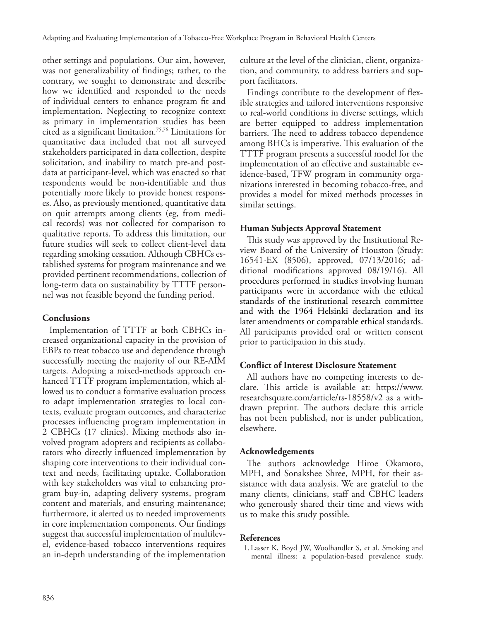other settings and populations. Our aim, however, was not generalizability of findings; rather, to the contrary, we sought to demonstrate and describe how we identified and responded to the needs of individual centers to enhance program fit and implementation. Neglecting to recognize context as primary in implementation studies has been cited as a significant limitation.75,76 Limitations for quantitative data included that not all surveyed stakeholders participated in data collection, despite solicitation, and inability to match pre-and postdata at participant-level, which was enacted so that respondents would be non-identifiable and thus potentially more likely to provide honest responses. Also, as previously mentioned, quantitative data on quit attempts among clients (eg, from medical records) was not collected for comparison to qualitative reports. To address this limitation, our future studies will seek to collect client-level data regarding smoking cessation. Although CBHCs established systems for program maintenance and we provided pertinent recommendations, collection of long-term data on sustainability by TTTF personnel was not feasible beyond the funding period.

## **Conclusions**

Implementation of TTTF at both CBHCs increased organizational capacity in the provision of EBPs to treat tobacco use and dependence through successfully meeting the majority of our RE-AIM targets. Adopting a mixed-methods approach enhanced TTTF program implementation, which allowed us to conduct a formative evaluation process to adapt implementation strategies to local contexts, evaluate program outcomes, and characterize processes influencing program implementation in 2 CBHCs (17 clinics). Mixing methods also involved program adopters and recipients as collaborators who directly influenced implementation by shaping core interventions to their individual context and needs, facilitating uptake. Collaboration with key stakeholders was vital to enhancing program buy-in, adapting delivery systems, program content and materials, and ensuring maintenance; furthermore, it alerted us to needed improvements in core implementation components. Our findings suggest that successful implementation of multilevel, evidence-based tobacco interventions requires an in-depth understanding of the implementation

culture at the level of the clinician, client, organization, and community, to address barriers and support facilitators.

Findings contribute to the development of flexible strategies and tailored interventions responsive to real-world conditions in diverse settings, which are better equipped to address implementation barriers. The need to address tobacco dependence among BHCs is imperative. This evaluation of the TTTF program presents a successful model for the implementation of an effective and sustainable evidence-based, TFW program in community organizations interested in becoming tobacco-free, and provides a model for mixed methods processes in similar settings.

## **Human Subjects Approval Statement**

This study was approved by the Institutional Review Board of the University of Houston (Study: 16541-EX (8506), approved, 07/13/2016; additional modifications approved 08/19/16). All procedures performed in studies involving human participants were in accordance with the ethical standards of the institutional research committee and with the 1964 Helsinki declaration and its later amendments or comparable ethical standards. All participants provided oral or written consent prior to participation in this study.

## **Conflict of Interest Disclosure Statement**

All authors have no competing interests to declare. This article is available at: https://www. researchsquare.com/article/rs-18558/v2 as a withdrawn preprint. The authors declare this article has not been published, nor is under publication, elsewhere.

## **Acknowledgements**

The authors acknowledge Hiroe Okamoto, MPH, and Sonakshee Shree, MPH, for their assistance with data analysis. We are grateful to the many clients, clinicians, staff and CBHC leaders who generously shared their time and views with us to make this study possible.

## **References**

1.Lasser K, Boyd JW, Woolhandler S, et al. Smoking and mental illness: a population-based prevalence study.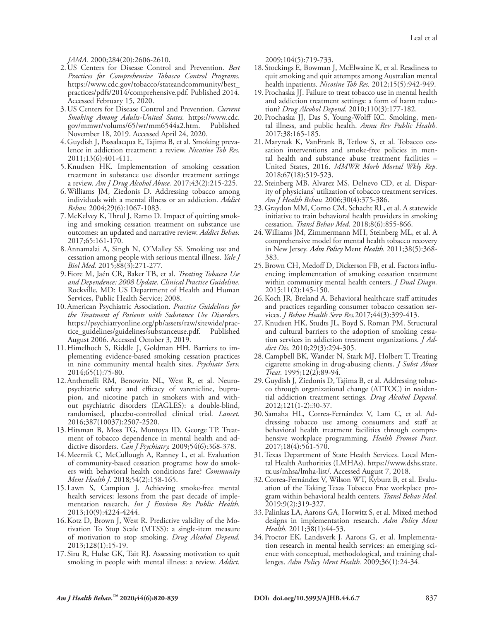*JAMA.* 2000;284(20):2606-2610.

- 2.US Centers for Disease Control and Prevention. *Best Practices for Comprehensive Tobacco Control Programs.*  https://www.cdc.gov/tobacco/stateandcommunity/best\_ practices/pdfs/2014/comprehensive.pdf. Published 2014. Accessed February 15, 2020.
- 3.US Centers for Disease Control and Prevention. *Current Smoking Among Adults-United States.* https://www.cdc. gov/mmwr/volums/65/wr/mm6544a2.htm. Published November 18, 2019. Accessed April 24, 2020.
- 4.Guydish J, Passalacqua E, Tajima B, et al. Smoking prevalence in addiction treatment: a review. *Nicotine Tob Res.*  2011;13(6):401-411.
- 5.Knudsen HK. Implementation of smoking cessation treatment in substance use disorder treatment settings: a review. *Am J Drug Alcohol Abuse.* 2017;43(2):215-225.
- 6.Williams JM, Ziedonis D. Addressing tobacco among individuals with a mental illness or an addiction. *Addict Behav.* 2004;29(6):1067-1083.
- 7.McKelvey K, Thrul J, Ramo D. Impact of quitting smoking and smoking cessation treatment on substance use outcomes: an updated and narrative review. *Addict Behav.*  2017;65:161-170.
- 8.Annamalai A, Singh N, O'Malley SS. Smoking use and cessation among people with serious mental illness. *Yale J Biol Med.* 2015;88(3):271-277.
- 9.Fiore M, Jaén CR, Baker TB, et al. *Treating Tobacco Use and Dependence: 2008 Update. Clinical Practice Guideline*. Rockville, MD: US Department of Health and Human Services, Public Health Service; 2008.
- 10.American Psychiatric Association. *Practice Guidelines for the Treatment of Patients with Substance Use Disorders.*  https://psychiatryonline.org/pb/assets/raw/sitewide/practice\_guidelines/guidelines/substanceuse.pdf. Published August 2006. Accessed October 3, 2019.
- 11.Himelhoch S, Riddle J, Goldman HH. Barriers to implementing evidence-based smoking cessation practices in nine community mental health sites. *Psychiatr Serv.*  2014;65(1):75-80.
- 12.Anthenelli RM, Benowitz NL, West R, et al. Neuropsychiatric safety and efficacy of varenicline, bupropion, and nicotine patch in smokers with and without psychiatric disorders (EAGLES): a double-blind, randomised, placebo-controlled clinical trial. *Lancet.*  2016;387(10037):2507-2520.
- 13.Hitsman B, Moss TG, Montoya ID, George TP. Treatment of tobacco dependence in mental health and addictive disorders. *Can J Psychiatry.* 2009;54(6):368-378.
- 14.Meernik C, McCullough A, Ranney L, et al. Evaluation of community-based cessation programs: how do smokers with behavioral health conditions fare? *Community Ment Health J.* 2018;54(2):158-165.
- 15.Lawn S, Campion J. Achieving smoke-free mental health services: lessons from the past decade of implementation research. *Int J Environ Res Public Health.*  2013;10(9):4224-4244.
- 16.Kotz D, Brown J, West R. Predictive validity of the Motivation To Stop Scale (MTSS): a single-item measure of motivation to stop smoking. *Drug Alcohol Depend.*  2013;128(1):15-19.
- 17. Siru R, Hulse GK, Tait RJ. Assessing motivation to quit smoking in people with mental illness: a review. *Addict.*

2009;104(5):719-733.

- 18. Stockings E, Bowman J, McElwaine K, et al. Readiness to quit smoking and quit attempts among Australian mental health inpatients. *Nicotine Tob Res.* 2012;15(5):942-949.
- 19.Prochaska JJ. Failure to treat tobacco use in mental health and addiction treatment settings: a form of harm reduction? *Drug Alcohol Depend.* 2010;110(3):177-182.
- 20.Prochaska JJ, Das S, Young-Wolff KC. Smoking, mental illness, and public health. *Annu Rev Public Health.*  2017;38:165-185.
- 21.Marynak K, VanFrank B, Tetlow S, et al. Tobacco cessation interventions and smoke-free policies in mental health and substance abuse treatment facilities – United States, 2016. *MMWR Morb Mortal Wkly Rep.*  2018;67(18):519-523.
- 22. Steinberg MB, Alvarez MS, Delnevo CD, et al. Disparity of physicians' utilization of tobacco treatment services. *Am J Health Behav.* 2006;30(4):375-386.
- 23.Graydon MM, Corno CM, Schacht RL, et al. A statewide initiative to train behavioral health providers in smoking cessation. *Transl Behav Med.* 2018;8(6):855-866.
- 24.Williams JM, Zimmermann MH, Steinberg ML, et al. A comprehensive model for mental health tobacco recovery in New Jersey. *Adm Policy* Ment *Health.* 2011;38(5):368- 383.
- 25.Brown CH, Medoff D, Dickerson FB, et al. Factors influencing implementation of smoking cessation treatment within community mental health centers. *J Dual Diagn.*  2015;11(2):145-150.
- 26.Koch JR, Breland A. Behavioral healthcare staff attitudes and practices regarding consumer tobacco cessation services. *J Behav Health Serv Res.*2017;44(3):399-413.
- 27.Knudsen HK, Studts JL, Boyd S, Roman PM. Structural and cultural barriers to the adoption of smoking cessation services in addiction treatment organizations. *J Addict Dis.* 2010;29(3):294-305.
- 28.Campbell BK, Wander N, Stark MJ, Holbert T. Treating cigarette smoking in drug-abusing clients. *J Subst Abuse Treat.* 1995;12(2):89-94.
- 29.Guydish J, Ziedonis D, Tajima B, et al. Addressing tobacco through organizational change (ATTOC) in residential addiction treatment settings. *Drug Alcohol Depend.*  2012;121(1-2):30-37.
- 30. Samaha HL, Correa-Fernández V, Lam C, et al. Addressing tobacco use among consumers and staff at behavioral health treatment facilities through comprehensive workplace programming. *Health Promot Pract.*  2017;18(4):561-570.
- 31.Texas Department of State Health Services. Local Mental Health Authorities (LMHAs). https://www.dshs.state. tx.us/mhsa/lmha-list/. Accessed August 7, 2018.
- 32.Correa-Fernández V, Wilson WT, Kyburz B, et al. Evaluation of the Taking Texas Tobacco Free workplace program within behavioral health centers. *Transl Behav Med.*  2019;9(2):319-327.
- 33.Palinkas LA, Aarons GA, Horwitz S, et al. Mixed method designs in implementation research. *Adm Policy Ment Health.* 2011;38(1):44-53.
- 34.Proctor EK, Landsverk J, Aarons G, et al. Implementation research in mental health services: an emerging science with conceptual, methodological, and training challenges. *Adm Policy Ment Health.* 2009;36(1):24-34.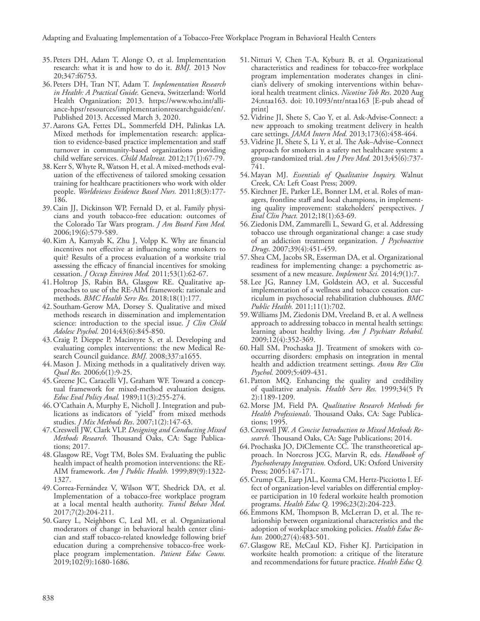- 35.Peters DH, Adam T, Alonge O, et al. Implementation research: what it is and how to do it. *BMJ.* 2013 Nov 20;347:f6753.
- 36.Peters DH, Tran NT, Adam T. *Implementation Research in Health: A Practical Guide.* Geneva, Switzerland: World Health Organization; 2013. https://www.who.int/alliance-hpsr/resources/implementationresearchguide/en/. Published 2013. Accessed March 3, 2020.
- 37.Aarons GA, Fettes DL, Sommerfeld DH, Palinkas LA. Mixed methods for implementation research: application to evidence-based practice implementation and staff turnover in community-based organizations providing child welfare services. *Child Maltreat.* 2012;17(1):67-79.
- 38.Kerr S, Whyte R, Watson H, et al. A mixed‐methods evaluation of the effectiveness of tailored smoking cessation training for healthcare practitioners who work with older people. *Worldviews Evidence Based Nurs.* 2011;8(3):177- 186.
- 39.Cain JJ, Dickinson WP, Fernald D, et al. Family physicians and youth tobacco-free education: outcomes of the Colorado Tar Wars program. *J Am Board Fam Med.*  2006;19(6):579-589.
- 40.Kim A, Kamyab K, Zhu J, Volpp K. Why are financial incentives not effective at influencing some smokers to quit? Results of a process evaluation of a worksite trial assessing the efficacy of financial incentives for smoking cessation. *J Occup Environ Med.* 2011;53(1):62-67.
- 41.Holtrop JS, Rabin BA, Glasgow RE. Qualitative approaches to use of the RE-AIM framework: rationale and methods. *BMC Health Serv Res.* 2018;18(1):177.
- 42. Southam-Gerow MA, Dorsey S. Qualitative and mixed methods research in dissemination and implementation science: introduction to the special issue. *J Clin Child Adolesc Psychol.* 2014;43(6):845-850.
- 43.Craig P, Dieppe P, Macintyre S, et al. Developing and evaluating complex interventions: the new Medical Research Council guidance. *BMJ.* 2008;337:a1655.
- 44.Mason J. Mixing methods in a qualitatively driven way. *Qual Res.* 2006;6(1):9-25.
- 45.Greene JC, Caracelli VJ, Graham WF. Toward a conceptual framework for mixed-method evaluation designs. *Educ Eval Policy Anal.* 1989;11(3):255-274.
- 46.O'Cathain A, Murphy E, Nicholl J. Integration and publications as indicators of "yield" from mixed methods studies. *J Mix Methods Res*. 2007;1(2):147-63.
- 47.Creswell JW, Clark VLP. *Designing and Conducting Mixed Methods Research.* Thousand Oaks, CA: Sage Publications; 2017.
- 48.Glasgow RE, Vogt TM, Boles SM. Evaluating the public health impact of health promotion interventions: the RE-AIM framework. *Am J Public Health.* 1999;89(9):1322- 1327.
- 49.Correa-Fernández V, Wilson WT, Shedrick DA, et al. Implementation of a tobacco-free workplace program at a local mental health authority. *Transl Behav Med.*  2017;7(2):204-211.
- 50.Garey L, Neighbors C, Leal MI, et al. Organizational moderators of change in behavioral health center clinician and staff tobacco-related knowledge following brief education during a comprehensive tobacco-free workplace program implementation. *Patient Educ Couns.*  2019;102(9):1680-1686.
- 51.Nitturi V, Chen T-A, Kyburz B, et al. Organizational characteristics and readiness for tobacco-free workplace program implementation moderates changes in clinician's delivery of smoking interventions within behavioral health treatment clinics. *Nicotine Tob Res*. 2020 Aug 24;ntaa163. doi: 10.1093/ntr/ntaa163 [E-pub ahead of print]
- 52.Vidrine JI, Shete S, Cao Y, et al. Ask-Advise-Connect: a new approach to smoking treatment delivery in health care settings. *JAMA Intern Med.* 2013;173(6):458-464.
- 53.Vidrine JI, Shete S, Li Y, et al. The Ask–Advise–Connect approach for smokers in a safety net healthcare system: a group-randomized trial. *Am J Prev Med.* 2013;45(6):737- 741.
- 54.Mayan MJ. *Essentials of Qualitative Inquiry.* Walnut Creek, CA: Left Coast Press; 2009.
- 55.Kirchner JE, Parker LE, Bonner LM, et al. Roles of managers, frontline staff and local champions, in implementing quality improvement: stakeholders' perspectives. *J Eval Clin Pract.* 2012;18(1):63-69.
- 56.Ziedonis DM, Zammarelli L, Seward G, et al. Addressing tobacco use through organizational change: a case study of an addiction treatment organization. *J Psychoactive Drugs.* 2007;39(4):451-459.
- 57. Shea CM, Jacobs SR, Esserman DA, et al. Organizational readiness for implementing change: a psychometric assessment of a new measure. *Implement Sci.* 2014;9(1):7.
- 58.Lee JG, Ranney LM, Goldstein AO, et al. Successful implementation of a wellness and tobacco cessation curriculum in psychosocial rehabilitation clubhouses. *BMC Public Health.* 2011;11(1):702.
- 59.Williams JM, Ziedonis DM, Vreeland B, et al. A wellness approach to addressing tobacco in mental health settings: learning about healthy living. *Am J Psychiatr Rehabil.*  2009;12(4):352-369.
- 60.Hall SM, Prochaska JJ. Treatment of smokers with cooccurring disorders: emphasis on integration in mental health and addiction treatment settings. *Annu Rev Clin Psychol.* 2009;5:409-431.
- 61.Patton MQ. Enhancing the quality and credibility of qualitative analysis. *Health Serv Res.* 1999;34(5 Pt 2):1189-1209.
- 62.Morse JM, Field PA. *Qualitative Research Methods for Health Professionals*. Thousand Oaks, CA: Sage Publications; 1995.
- 63.Creswell JW. *A Concise Introduction to Mixed Methods Research.* Thousand Oaks, CA: Sage Publications; 2014.
- 64.Prochaska JO, DiClemente CC. The transtheoretical approach. In Norcross JCG, Marvin R, eds. *Handbook of Psychotherapy Integration.* Oxford, UK: Oxford University Press; 2005:147-171.
- 65.Crump CE, Earp JAL, Kozma CM, Hertz-Picciotto I. Effect of organization-level variables on differential employee participation in 10 federal worksite health promotion programs. *Health Educ Q.* 1996;23(2):204-223.
- 66.Emmons KM, Thompson B, McLerran D, et al. The relationship between organizational characteristics and the adoption of workplace smoking policies. *Health Educ Behav.* 2000;27(4):483-501.
- 67.Glasgow RE, McCaul KD, Fisher KJ. Participation in worksite health promotion: a critique of the literature and recommendations for future practice. *Health Educ Q.*